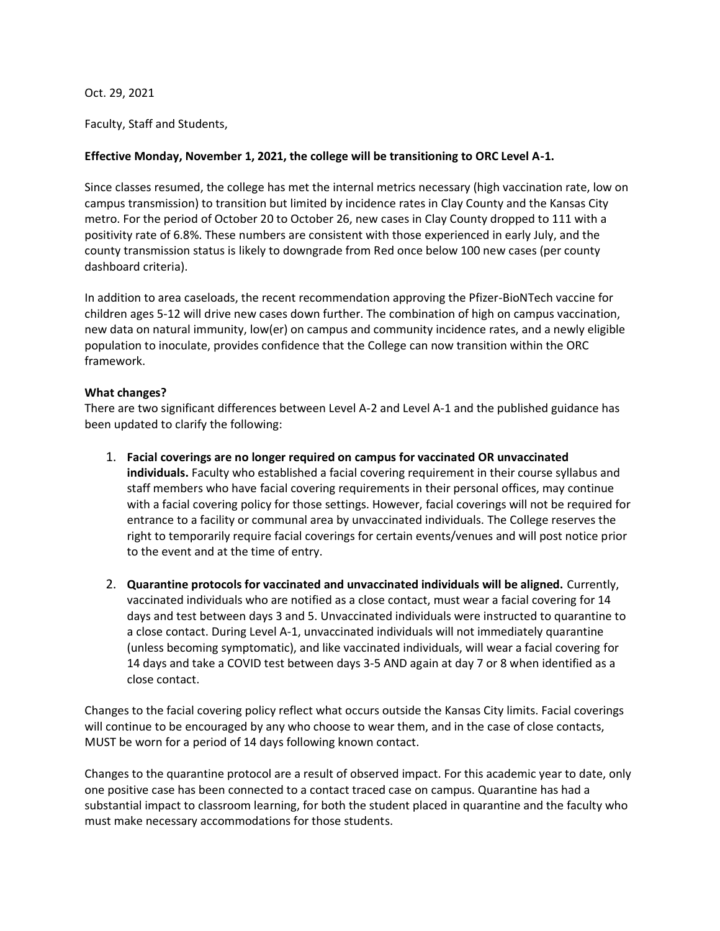Oct. 29, 2021

Faculty, Staff and Students,

## **Effective Monday, November 1, 2021, the college will be transitioning to ORC Level A-1.**

Since classes resumed, the college has met the internal metrics necessary (high vaccination rate, low on campus transmission) to transition but limited by incidence rates in Clay County and the Kansas City metro. For the period of October 20 to October 26, new cases in Clay County dropped to 111 with a positivity rate of 6.8%. These numbers are consistent with those experienced in early July, and the county transmission status is likely to downgrade from Red once below 100 new cases (per county dashboard criteria).

In addition to area caseloads, the recent recommendation approving the Pfizer-BioNTech vaccine for children ages 5-12 will drive new cases down further. The combination of high on campus vaccination, new data on natural immunity, low(er) on campus and community incidence rates, and a newly eligible population to inoculate, provides confidence that the College can now transition within the ORC framework.

## **What changes?**

There are two significant differences between Level A-2 and Level A-1 and the published guidance has been updated to clarify the following:

- 1. **Facial coverings are no longer required on campus for vaccinated OR unvaccinated individuals.** Faculty who established a facial covering requirement in their course syllabus and staff members who have facial covering requirements in their personal offices, may continue with a facial covering policy for those settings. However, facial coverings will not be required for entrance to a facility or communal area by unvaccinated individuals. The College reserves the right to temporarily require facial coverings for certain events/venues and will post notice prior to the event and at the time of entry.
- 2. **Quarantine protocols for vaccinated and unvaccinated individuals will be aligned.** Currently, vaccinated individuals who are notified as a close contact, must wear a facial covering for 14 days and test between days 3 and 5. Unvaccinated individuals were instructed to quarantine to a close contact. During Level A-1, unvaccinated individuals will not immediately quarantine (unless becoming symptomatic), and like vaccinated individuals, will wear a facial covering for 14 days and take a COVID test between days 3-5 AND again at day 7 or 8 when identified as a close contact.

Changes to the facial covering policy reflect what occurs outside the Kansas City limits. Facial coverings will continue to be encouraged by any who choose to wear them, and in the case of close contacts, MUST be worn for a period of 14 days following known contact.

Changes to the quarantine protocol are a result of observed impact. For this academic year to date, only one positive case has been connected to a contact traced case on campus. Quarantine has had a substantial impact to classroom learning, for both the student placed in quarantine and the faculty who must make necessary accommodations for those students.